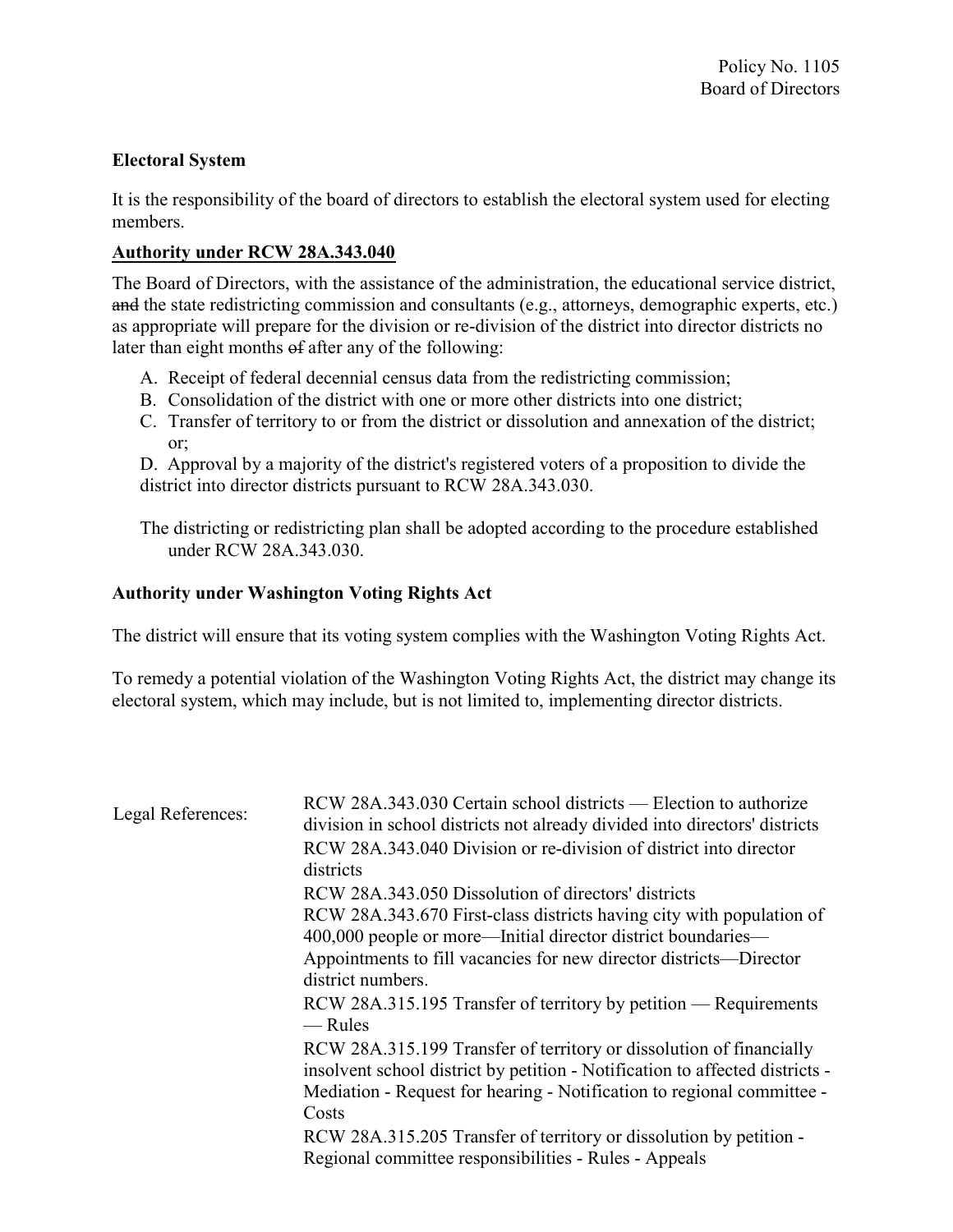## Electoral System

It is the responsibility of the board of directors to establish the electoral system used for electing members.

## Authority under RCW 28A.343.040

The Board of Directors, with the assistance of the administration, the educational service district, and the state redistricting commission and consultants (e.g., attorneys, demographic experts, etc.) as appropriate will prepare for the division or re-division of the district into director districts no later than eight months of after any of the following:

- A. Receipt of federal decennial census data from the redistricting commission;
- B. Consolidation of the district with one or more other districts into one district;
- C. Transfer of territory to or from the district or dissolution and annexation of the district; or;

D. Approval by a majority of the district's registered voters of a proposition to divide the district into director districts pursuant to RCW 28A.343.030.

The districting or redistricting plan shall be adopted according to the procedure established under RCW 28A.343.030.

## Authority under Washington Voting Rights Act

The district will ensure that its voting system complies with the Washington Voting Rights Act.

To remedy a potential violation of the Washington Voting Rights Act, the district may change its electoral system, which may include, but is not limited to, implementing director districts.

| Legal References: | RCW 28A.343.030 Certain school districts — Election to authorize<br>division in school districts not already divided into directors' districts                                                                                |
|-------------------|-------------------------------------------------------------------------------------------------------------------------------------------------------------------------------------------------------------------------------|
|                   | RCW 28A, 343, 040 Division or re-division of district into director<br>districts                                                                                                                                              |
|                   | RCW 28A.343.050 Dissolution of directors' districts                                                                                                                                                                           |
|                   | RCW 28A.343.670 First-class districts having city with population of<br>400,000 people or more—Initial director district boundaries—                                                                                          |
|                   | Appointments to fill vacancies for new director districts—Director<br>district numbers.                                                                                                                                       |
|                   | RCW 28A.315.195 Transfer of territory by petition — Requirements<br>— Rules                                                                                                                                                   |
|                   | RCW 28A.315.199 Transfer of territory or dissolution of financially<br>insolvent school district by petition - Notification to affected districts -<br>Mediation - Request for hearing - Notification to regional committee - |
|                   | Costs                                                                                                                                                                                                                         |
|                   | RCW 28A.315.205 Transfer of territory or dissolution by petition -                                                                                                                                                            |
|                   | Regional committee responsibilities - Rules - Appeals                                                                                                                                                                         |
|                   |                                                                                                                                                                                                                               |